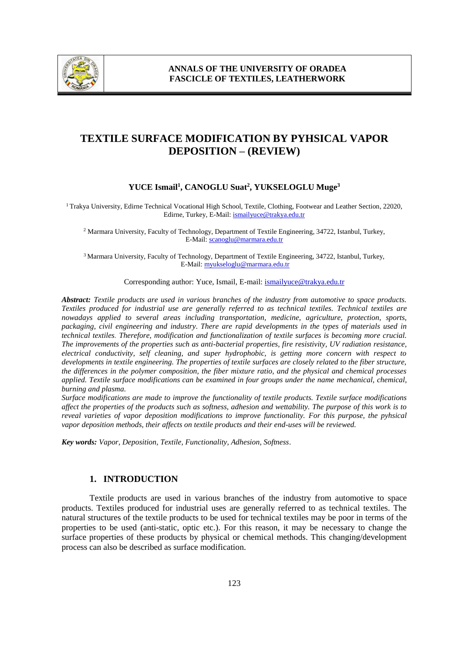

# **TEXTILE SURFACE MODIFICATION BY PYHSICAL VAPOR DEPOSITION – (REVIEW)**

## **YUCE Ismail<sup>1</sup> , CANOGLU Suat<sup>2</sup> , YUKSELOGLU Muge<sup>3</sup>**

<sup>1</sup> Trakya University, Edirne Technical Vocational High School, Textile, Clothing, Footwear and Leather Section, 22020, Edirne, Turkey, E-Mail: ismailyuce@trakya.edu.tr

<sup>2</sup> Marmara University, Faculty of Technology, Department of Textile Engineering, 34722, Istanbul, Turkey, E-Mail: scanoglu@marmara.edu.tr

<sup>3</sup>Marmara University, Faculty of Technology, Department of Textile Engineering, 34722, Istanbul, Turkey, E-Mail: myukseloglu@marmara.edu.tr

Corresponding author: Yuce, Ismail, E-mail: ismailyuce@trakya.edu.tr

*Abstract: Textile products are used in various branches of the industry from automotive to space products. Textiles produced for industrial use are generally referred to as technical textiles. Technical textiles are nowadays applied to several areas including transportation, medicine, agriculture, protection, sports, packaging, civil engineering and industry. There are rapid developments in the types of materials used in technical textiles. Therefore, modification and functionalization of textile surfaces is becoming more crucial. The improvements of the properties such as anti-bacterial properties, fire resistivity, UV radiation resistance, electrical conductivity, self cleaning, and super hydrophobic, is getting more concern with respect to developments in textile engineering. The properties of textile surfaces are closely related to the fiber structure, the differences in the polymer composition, the fiber mixture ratio, and the physical and chemical processes applied. Textile surface modifications can be examined in four groups under the name mechanical, chemical, burning and plasma.*

*Surface modifications are made to improve the functionality of textile products. Textile surface modifications affect the properties of the products such as softness, adhesion and wettability. The purpose of this work is to reveal varieties of vapor deposition modifications to improve functionality. For this purpose, the pyhsical vapor deposition methods, their affects on textile products and their end-uses will be reviewed.*

*Key words: Vapor, Deposition, Textile, Functionality, Adhesion, Softness*.

# **1. INTRODUCTION**

Textile products are used in various branches of the industry from automotive to space products. Textiles produced for industrial uses are generally referred to as technical textiles. The natural structures of the textile products to be used for technical textiles may be poor in terms of the properties to be used (anti-static, optic etc.). For this reason, it may be necessary to change the surface properties of these products by physical or chemical methods. This changing/development process can also be described as surface modification.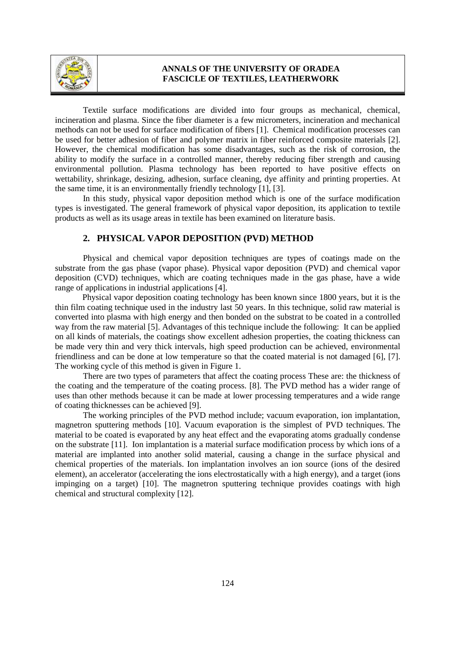

Textile surface modifications are divided into four groups as mechanical, chemical, incineration and plasma. Since the fiber diameter is a few micrometers, incineration and mechanical methods can not be used for surface modification of fibers [1]. Chemical modification processes can be used for better adhesion of fiber and polymer matrix in fiber reinforced composite materials [2]. However, the chemical modification has some disadvantages, such as the risk of corrosion, the ability to modify the surface in a controlled manner, thereby reducing fiber strength and causing environmental pollution. Plasma technology has been reported to have positive effects on wettability, shrinkage, desizing, adhesion, surface cleaning, dye affinity and printing properties. At the same time, it is an environmentally friendly technology [1], [3].

In this study, physical vapor deposition method which is one of the surface modification types is investigated. The general framework of physical vapor deposition, its application to textile products as well as its usage areas in textile has been examined on literature basis.

### **2. PHYSICAL VAPOR DEPOSITION (PVD) METHOD**

Physical and chemical vapor deposition techniques are types of coatings made on the substrate from the gas phase (vapor phase). Physical vapor deposition (PVD) and chemical vapor deposition (CVD) techniques, which are coating techniques made in the gas phase, have a wide range of applications in industrial applications [4].

Physical vapor deposition coating technology has been known since 1800 years, but it is the thin film coating technique used in the industry last 50 years. In this technique, solid raw material is converted into plasma with high energy and then bonded on the substrat to be coated in a controlled way from the raw material [5]. Advantages of this technique include the following: It can be applied on all kinds of materials, the coatings show excellent adhesion properties, the coating thickness can be made very thin and very thick intervals, high speed production can be achieved, environmental friendliness and can be done at low temperature so that the coated material is not damaged [6], [7]. The working cycle of this method is given in Figure 1.

There are two types of parameters that affect the coating process These are: the thickness of the coating and the temperature of the coating process. [8]. The PVD method has a wider range of uses than other methods because it can be made at lower processing temperatures and a wide range of coating thicknesses can be achieved [9].

The working principles of the PVD method include; vacuum evaporation, ion implantation, magnetron sputtering methods [10]. Vacuum evaporation is the simplest of PVD techniques. The material to be coated is evaporated by any heat effect and the evaporating atoms gradually condense on the substrate [11]. Ion implantation is a material surface modification process by which ions of a material are implanted into another solid material, causing a change in the surface physical and chemical properties of the materials. Ion implantation involves an ion source (ions of the desired element), an accelerator (accelerating the ions electrostatically with a high energy), and a target (ions impinging on a target) [10]. The magnetron sputtering technique provides coatings with high chemical and structural complexity [12].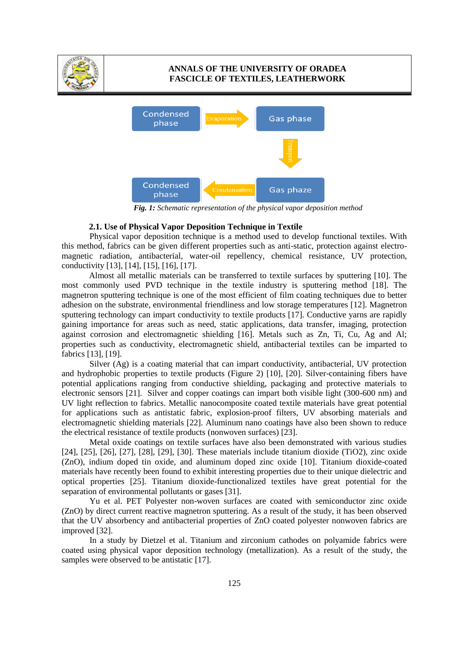



*Fig. 1: Schematic representation of the physical vapor deposition method*

#### **2.1. Use of Physical Vapor Deposition Technique in Textile**

Physical vapor deposition technique is a method used to develop functional textiles. With this method, fabrics can be given different properties such as anti-static, protection against electromagnetic radiation, antibacterial, water-oil repellency, chemical resistance, UV protection, conductivity [13], [14], [15], [16], [17].

Almost all metallic materials can be transferred to textile surfaces by sputtering [10]. The most commonly used PVD technique in the textile industry is sputtering method [18]. The magnetron sputtering technique is one of the most efficient of film coating techniques due to better adhesion on the substrate, environmental friendliness and low storage temperatures [12]. Magnetron sputtering technology can impart conductivity to textile products [17]. Conductive yarns are rapidly gaining importance for areas such as need, static applications, data transfer, imaging, protection against corrosion and electromagnetic shielding [16]. Metals such as Zn, Ti, Cu, Ag and Al; properties such as conductivity, electromagnetic shield, antibacterial textiles can be imparted to fabrics [13], [19].

Silver (Ag) is a coating material that can impart conductivity, antibacterial, UV protection and hydrophobic properties to textile products (Figure 2) [10], [20]. Silver-containing fibers have potential applications ranging from conductive shielding, packaging and protective materials to electronic sensors [21]. Silver and copper coatings can impart both visible light (300-600 nm) and UV light reflection to fabrics. Metallic nanocomposite coated textile materials have great potential for applications such as antistatic fabric, explosion-proof filters, UV absorbing materials and electromagnetic shielding materials [22]. Aluminum nano coatings have also been shown to reduce the electrical resistance of textile products (nonwoven surfaces) [23].

Metal oxide coatings on textile surfaces have also been demonstrated with various studies [24], [25], [26], [27], [28], [29], [30]. These materials include titanium dioxide (TiO2), zinc oxide (ZnO), indium doped tin oxide, and aluminum doped zinc oxide [10]. Titanium dioxide-coated materials have recently been found to exhibit interesting properties due to their unique dielectric and optical properties [25]. Titanium dioxide-functionalized textiles have great potential for the separation of environmental pollutants or gases [31].

Yu et al. PET Polyester non-woven surfaces are coated with semiconductor zinc oxide (ZnO) by direct current reactive magnetron sputtering. As a result of the study, it has been observed that the UV absorbency and antibacterial properties of ZnO coated polyester nonwoven fabrics are improved [32].

In a study by Dietzel et al. Titanium and zirconium cathodes on polyamide fabrics were coated using physical vapor deposition technology (metallization). As a result of the study, the samples were observed to be antistatic [17].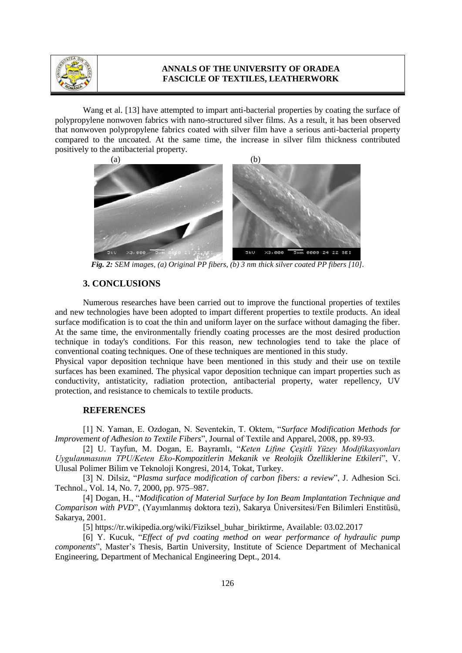

Wang et al. [13] have attempted to impart anti-bacterial properties by coating the surface of polypropylene nonwoven fabrics with nano-structured silver films. As a result, it has been observed that nonwoven polypropylene fabrics coated with silver film have a serious anti-bacterial property compared to the uncoated. At the same time, the increase in silver film thickness contributed positively to the antibacterial property.



*Fig. 2: SEM images, (a) Original PP fibers, (b) 3 nm thick silver coated PP fibers [10].*

## **3. CONCLUSIONS**

Numerous researches have been carried out to improve the functional properties of textiles and new technologies have been adopted to impart different properties to textile products. An ideal surface modification is to coat the thin and uniform layer on the surface without damaging the fiber. At the same time, the environmentally friendly coating processes are the most desired production technique in today's conditions. For this reason, new technologies tend to take the place of conventional coating techniques. One of these techniques are mentioned in this study.

Physical vapor deposition technique have been mentioned in this study and their use on textile surfaces has been examined. The physical vapor deposition technique can impart properties such as conductivity, antistaticity, radiation protection, antibacterial property, water repellency, UV protection, and resistance to chemicals to textile products.

#### **REFERENCES**

[1] N. Yaman, E. Ozdogan, N. Seventekin, T. Oktem, "*Surface Modification Methods for Improvement of Adhesion to Textile Fibers*", Journal of Textile and Apparel, 2008, pp. 89-93.

[2] U. Tayfun, M. Dogan, E. Bayramlı, "*Keten Lifine Çeşitli Yüzey Modifikasyonları Uygulanmasının TPU/Keten Eko-Kompozitlerin Mekanik ve Reolojik Özelliklerine Etkileri*", V. Ulusal Polimer Bilim ve Teknoloji Kongresi, 2014, Tokat, Turkey.

[3] N. Dilsiz, "*Plasma surface modification of carbon fibers: a review*", J. Adhesion Sci. Technol., Vol. 14, No. 7, 2000, pp. 975–987.

[4] Dogan, H., "*Modification of Material Surface by Ion Beam Implantation Technique and Comparison with PVD*", (Yayımlanmış doktora tezi), Sakarya Üniversitesi/Fen Bilimleri Enstitüsü, Sakarya, 2001.

[5] https://tr.wikipedia.org/wiki/Fiziksel\_buhar\_biriktirme, Available: 03.02.2017

[6] Y. Kucuk, "*Effect of pvd coating method on wear performance of hydraulic pump components*", Master's Thesis, Bartin University, Institute of Science Department of Mechanical Engineering, Department of Mechanical Engineering Dept., 2014.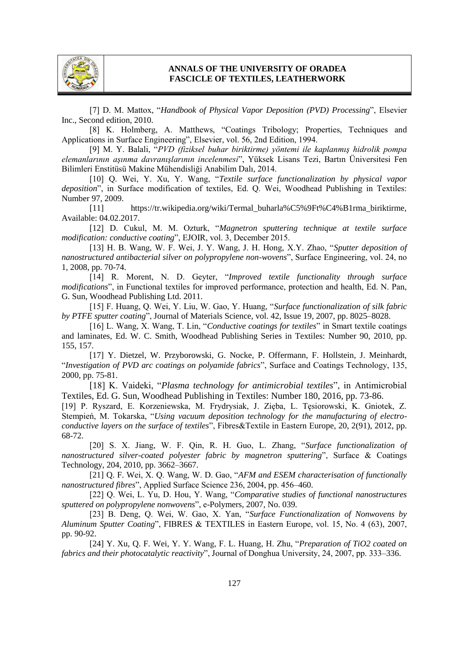

[7] D. M. Mattox, "*Handbook of Physical Vapor Deposition (PVD) Processing*", Elsevier Inc., Second edition, 2010.

[8] K. Holmberg, A. Matthews, "Coatings Tribology; Properties, Techniques and Applications in Surface Engineering", Elsevier, vol. 56, 2nd Edition, 1994.

[9] M. Y. Balali, "*PVD (fiziksel buhar biriktirme) yöntemi ile kaplanmış hidrolik pompa elemanlarının aşınma davranışlarının incelenmesi*", Yüksek Lisans Tezi, Bartın Üniversitesi Fen Bilimleri Enstitüsü Makine Mühendisliği Anabilim Dalı, 2014.

[10] Q. Wei, Y. Xu, Y. Wang, "*Textile surface functionalization by physical vapor deposition*", in Surface modification of textiles, Ed. Q. Wei, Woodhead Publishing in Textiles: Number 97, 2009.

[11] https://tr.wikipedia.org/wiki/Termal\_buharla%C5%9Ft%C4%B1rma\_biriktirme, Available: 04.02.2017.

[12] D. Cukul, M. M. Ozturk, "*Magnetron sputtering technique at textile surface modification: conductive coating*", EJOIR, vol. 3, December 2015.

[13] H. B. Wang, W. F. Wei, J. Y. Wang, J. H. Hong, X.Y. Zhao, "*Sputter deposition of nanostructured antibacterial silver on polypropylene non-wovens*", Surface Engineering, vol. 24, no 1, 2008, pp. 70-74.

[14] R. Morent, N. D. Geyter, "*Improved textile functionality through surface modifications*", in Functional textiles for improved performance, protection and health, Ed. N. Pan, G. Sun, Woodhead Publishing Ltd. 2011.

[15] F. Huang, Q. Wei, Y. Liu, W. Gao, Y. Huang, "*Surface functionalization of silk fabric by PTFE sputter coating*", Journal of Materials Science, vol. 42, Issue 19, 2007, pp. 8025–8028.

[16] L. Wang, X. Wang, T. Lin, "*Conductive coatings for textiles*" in Smart textile coatings and laminates, Ed. W. C. Smith, Woodhead Publishing Series in Textiles: Number 90, 2010, pp. 155, 157.

[17] Y. Dietzel, W. Przyborowski, G. Nocke, P. Offermann, F. Hollstein, J. Meinhardt, "*Investigation of PVD arc coatings on polyamide fabrics*", Surface and Coatings Technology, 135, 2000, pp. 75-81.

[18] K. Vaideki, "*Plasma technology for antimicrobial textiles*", in Antimicrobial Textiles, Ed. G. Sun, Woodhead Publishing in Textiles: Number 180, 2016, pp. 73-86.

[19] P. Ryszard, E. Korzeniewska, M. Frydrysiak, J. Zięba, L. Tęsiorowski, K. Gniotek, Z. Stempień, M. Tokarska, "*Using vacuum deposition technology for the manufacturing of electroconductive layers on the surface of textiles*", Fibres&Textile in Eastern Europe, 20, 2(91), 2012, pp. 68-72.

[20] S. X. Jiang, W. F. Qin, R. H. Guo, L. Zhang, "*Surface functionalization of nanostructured silver-coated polyester fabric by magnetron sputtering*", Surface & Coatings Technology, 204, 2010, pp. 3662–3667.

[21] Q. F. Wei, X. Q. Wang, W. D. Gao, "*AFM and ESEM characterisation of functionally nanostructured fibres*", Applied Surface Science 236, 2004, pp. 456–460.

[22] Q. Wei, L. Yu, D. Hou, Y. Wang, "*Comparative studies of functional nanostructures sputtered on polypropylene nonwovens*", e-Polymers, 2007, No. 039.

[23] B. Deng, Q. Wei, W. Gao, X. Yan, "*Surface Functionalization of Nonwovens by Aluminum Sputter Coating*", FIBRES & TEXTILES in Eastern Europe, vol. 15, No. 4 (63), 2007, pp. 90-92.

[24] Y. Xu, Q. F. Wei, Y. Y. Wang, F. L. Huang, H. Zhu, "*Preparation of TiO2 coated on fabrics and their photocatalytic reactivity*", Journal of Donghua University, 24, 2007, pp. 333–336.